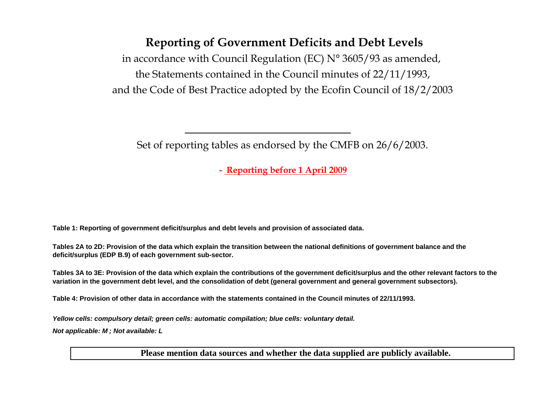### Reporting of Government Deficits and Debt Levels

in accordance with Council Regulation (EC)  $N^{\circ}$  3605/93 as amended, the Statements contained in the Council minutes of 22/11/1993,and the Code of Best Practice adopted by the Ecofin Council of 18/2/2003

Set of reporting tables as endorsed by the CMFB on 26/6/2003.

- Reporting before 1 April 2009

**Table 1: Reporting of government deficit/surplus and debt levels and provision of associated data.**

**Tables 2A to 2D: Provision of the data which explain the transition between the national definitions of government balance and the deficit/surplus (EDP B.9) of each government sub-sector.**

**Tables 3A to 3E: Provision of the data which explain the contributions of the government deficit/surplus and the other relevant factors to the variation in the government debt level, and the consolidation of debt (general government and general government subsectors).**

**Table 4: Provision of other data in accordance with the statements contained in the Council minutes of 22/11/1993.**

**Yellow cells: compulsory detail; green cells: automatic compilation; blue cells: voluntary detail.**

**Not applicable: M ; Not available: L** 

**Please mention data sources and whether the data supplied are publicly available.**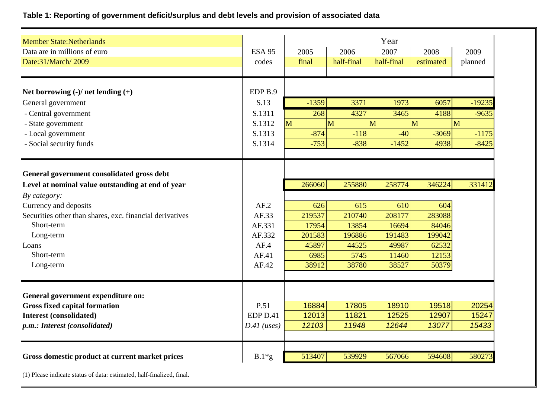### **Table 1: Reporting of government deficit/surplus and debt levels and provision of associated data**

| <b>Member State:Netherlands</b><br>Data are in millions of euro                                                                                                                                      | <b>ESA 95</b>                    | 2005                             | 2006                             | Year<br>2007                      | 2008                              | 2009     |
|------------------------------------------------------------------------------------------------------------------------------------------------------------------------------------------------------|----------------------------------|----------------------------------|----------------------------------|-----------------------------------|-----------------------------------|----------|
| Date:31/March/2009                                                                                                                                                                                   | codes                            | final                            | half-final                       | half-final                        | estimated                         | planned  |
| Net borrowing $(-)/$ net lending $(+)$                                                                                                                                                               | EDP <sub>B.9</sub>               |                                  |                                  |                                   |                                   |          |
| General government                                                                                                                                                                                   | S.13                             | $-1359$                          | 3371                             | 1973                              | 6057                              | $-19235$ |
| - Central government                                                                                                                                                                                 | S.1311                           | 268                              | 4327                             | 3465                              | 4188                              | $-9635$  |
| - State government                                                                                                                                                                                   | S.1312                           | M                                | M                                | M                                 | M                                 | M        |
| - Local government                                                                                                                                                                                   | S.1313                           | $-874$                           | $-118$                           | $-40$                             | $-3069$                           | $-1175$  |
| - Social security funds                                                                                                                                                                              | S.1314                           | $-753$                           | $-838$                           | $-1452$                           | 4938                              | $-8425$  |
| General government consolidated gross debt<br>Level at nominal value outstanding at end of year<br>By category:<br>Currency and deposits<br>Securities other than shares, exc. financial derivatives | AF.2<br>AF.33                    | 266060<br>626<br>219537          | 255880<br>615<br>210740          | 258774<br>610<br>208177           | 346224<br>604<br>283088           | 331412   |
| Short-term                                                                                                                                                                                           | AF.331                           | 17954                            | 13854                            | 16694                             | 84046                             |          |
| Long-term<br>Loans<br>Short-term<br>Long-term                                                                                                                                                        | AF.332<br>AF.4<br>AF.41<br>AF.42 | 201583<br>45897<br>6985<br>38912 | 196886<br>44525<br>5745<br>38780 | 191483<br>49987<br>11460<br>38527 | 199042<br>62532<br>12153<br>50379 |          |
| General government expenditure on:                                                                                                                                                                   |                                  |                                  |                                  |                                   |                                   |          |
| <b>Gross fixed capital formation</b>                                                                                                                                                                 | P.51                             | 16884                            | 17805                            | 18910                             | 19518                             | 20254    |
| <b>Interest (consolidated)</b>                                                                                                                                                                       | EDP D.41                         | 12013                            | 11821                            | 12525                             | 12907                             | 15247    |
| p.m.: Interest (consolidated)                                                                                                                                                                        | $D.41$ (uses)                    | 12103                            | 11948                            | 12644                             | 13077                             | 15433    |
|                                                                                                                                                                                                      |                                  |                                  |                                  |                                   |                                   |          |
| Gross domestic product at current market prices                                                                                                                                                      | $B.1*g$                          | 513407                           | 539929                           | 567066                            | 594608                            | 580273   |

(1) Please indicate status of data: estimated, half-finalized, final.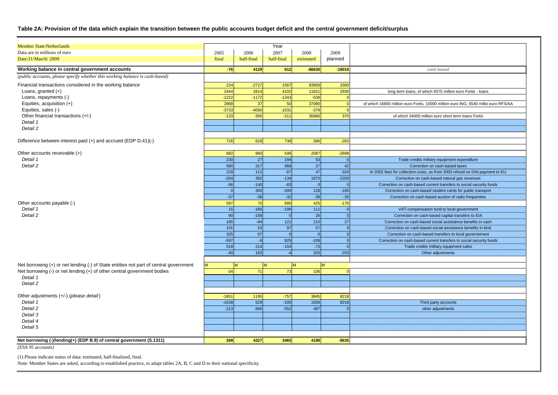#### **Table 2A: Provision of the data which explain the transition between the public accounts budget deficit and the central government deficit/surplus**

| <b>Member State:Netherlands</b>                                                       |            |                 | Year        |           |                      |                                                                                     |
|---------------------------------------------------------------------------------------|------------|-----------------|-------------|-----------|----------------------|-------------------------------------------------------------------------------------|
| Data are in millions of euro                                                          | 2005       | 2006            | 2007        | 2008      | 2009                 |                                                                                     |
| Date:31/March/2009                                                                    | final      | half-final      | half-final  | estimated | planned              |                                                                                     |
| Working balance in central government accounts                                        | $-76$      | 4129            | 612         | $-86630$  | $-18016$             | cash based                                                                          |
| (public accounts, please specify whether this working balance is cash-based)          |            |                 |             |           |                      |                                                                                     |
| Financial transactions considered in the working balance                              | 224        | $-2727$         | 1567        | 83959     | 3300                 |                                                                                     |
| Loans, granted $(+)$                                                                  | 2444       | 2814            | 4102        | 11821     | 2930                 | long term loans, of which 9375 million euro Fortis - loans                          |
| Loans, repayments (-)                                                                 | $-1222$    | $-1172$         | $-1343$     | $-539$    |                      |                                                                                     |
| Equities, acquisition (+)                                                             | 2868       | 37              | 50          | 37090     |                      | of which 16800 million euro Fortis, 10000 million euro ING, 6540 millio euro RFS/AA |
| Equities, sales (-)                                                                   | $-3733$    | $-4050$         | $-1031$     | $-379$    |                      |                                                                                     |
| Other financial transactions (+/-)                                                    | $-133$     | $-356$          | $-211$      | 35966     | 370                  | of which 34000 million euro short term loans Fortis                                 |
| Detail 1                                                                              |            |                 |             |           |                      |                                                                                     |
| Detail 2                                                                              |            |                 |             |           |                      |                                                                                     |
| Difference between interest paid (+) and accrued (EDP D.41)(-)                        | 726        | 629             | 738         | 396       | $-263$               |                                                                                     |
|                                                                                       |            |                 |             |           |                      |                                                                                     |
| Other accounts receivable (+)                                                         | 682        | 960             | 546         | 2087      | $-2698$              |                                                                                     |
| Detail 1                                                                              | 230        | 27              | 194         | 53        | $\Omega$             | Trade credits military equipment expenditure                                        |
| Detail 2                                                                              | 580        | 317             | 968         | 27        | 42                   | Correction on cash-based taxes                                                      |
|                                                                                       | 229        | 112             | $-67$       | 47        | $-320$               | In 2002 fees for collection costs, as from 2003 refund on GNI payment to EU         |
|                                                                                       | $-264$     | 382             | $-134$      | 1870      | $-2200$              | Correction on cash-based natural gas revenues                                       |
|                                                                                       | $-56$      | $-140$          | $-83$       | $\Omega$  | $\overline{0}$       | Correction on cash-based current transfers to social security funds                 |
|                                                                                       | $\Omega$   | 300             | $-300$      | 128       | $-185$               | Correction on cash-based student cards for public transport                         |
|                                                                                       | $-37$      | $-38$           | $-32$       | $-38$     | $-35$                | Correction on cash-based auction of radio frequenties                               |
| Other accounts payable (-)<br>Detail 1                                                | 597<br>15  | 70<br>$-166$    | 686         | 425       | $-176$               |                                                                                     |
| Detail 2                                                                              |            |                 | $-199$      | 111       | $\Omega$<br>$\Omega$ | VAT-compensation fund to local government                                           |
|                                                                                       | 90         | $-158$<br>$-94$ |             | 26<br>210 | 27                   | Correction on cash-based capital transfers to IDA                                   |
|                                                                                       | 185<br>101 | 53              | $121$<br>97 | 57        | $\Omega$             | Correction on cash-based social assistance benefits in cash                         |
|                                                                                       | 325        | 67              | $\Omega$    | $\Omega$  | $\Omega$             | Correction on cash-based social assistance benefits in kind                         |
|                                                                                       | $-597$     | $-9$            | 825         | $-109$    | $\overline{0}$       | Correction on cash-based transfers to local governement                             |
|                                                                                       | 518        | 214             | $-154$      | $-73$     | $\Omega$             | Correction on cash-based current transfers to social security funds                 |
|                                                                                       | $-40$      | 163             | $-4$        | 203       | $-203$               | Trade credits military equipment sales<br>Other adjustments                         |
|                                                                                       |            |                 |             |           |                      |                                                                                     |
| Net borrowing (+) or net lending (-) of State entities not part of central government |            | M               |             |           | M                    |                                                                                     |
| Net borrowing $(-)$ or net lending $(+)$ of other central government bodies           | $-34$      | 71              | 73          | 106       |                      |                                                                                     |
| Detail 1                                                                              |            |                 |             |           |                      |                                                                                     |
| Detail 2                                                                              |            |                 |             |           |                      |                                                                                     |
| Other adjustments (+/-) (please detail)                                               | $-1851$    | 1195            | $-757$      | 3845      | 8218                 |                                                                                     |
| Detail 1                                                                              | $-1638$    | 529             | $-205$      | 3358      | 8218                 | Third party accounts                                                                |
| Detail 2                                                                              | $-213$     | 666             | $-552$      | 487       |                      | other adjustments                                                                   |
| Detail 3                                                                              |            |                 |             |           |                      |                                                                                     |
| Detail 4                                                                              |            |                 |             |           |                      |                                                                                     |
| Detail 5                                                                              |            |                 |             |           |                      |                                                                                     |
|                                                                                       |            |                 |             |           |                      |                                                                                     |
| Net borrowing (-)/lending(+) (EDP B.9) of central government (S.1311)                 | 268        | 4327            | 3465        | 4188      | $-9635$              |                                                                                     |

*(ESA 95 accounts)*

(1) Please indicate status of data: estimated, half-finalized, final.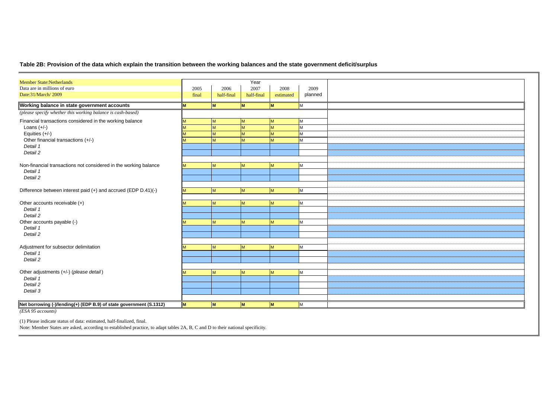#### **Table 2B: Provision of the data which explain the transition between the working balances and the state government deficit/surplus**

| <b>Member State:Netherlands</b><br>Data are in millions of euro     | 2005     | 2006       | Year<br>2007 | 2008      | 2009    |  |
|---------------------------------------------------------------------|----------|------------|--------------|-----------|---------|--|
| Date:31/March/2009                                                  | final    | half-final | half-final   | estimated | planned |  |
|                                                                     |          |            |              |           |         |  |
| Working balance in state government accounts                        | M        | M          | <b>M</b>     | lм        | M       |  |
| (please specify whether this working balance is cash-based)         |          |            |              |           |         |  |
| Financial transactions considered in the working balance            | M        | M          | M            | M         | M       |  |
| Loans $(+/-)$                                                       |          | M          | M            | M         | M       |  |
| Equities (+/-)                                                      |          | M          | M            | M         | M       |  |
| Other financial transactions (+/-)                                  |          | M          | M            | M         | M       |  |
| Detail 1                                                            |          |            |              |           |         |  |
| Detail 2                                                            |          |            |              |           |         |  |
|                                                                     |          |            |              |           |         |  |
| Non-financial transactions not considered in the working balance    | M        | <b>M</b>   | M            | M         | M       |  |
| Detail 1                                                            |          |            |              |           |         |  |
| Detail 2                                                            |          |            |              |           |         |  |
|                                                                     |          |            |              |           |         |  |
| Difference between interest paid (+) and accrued (EDP D.41)(-)      | M        | M          | M            | M         | M       |  |
|                                                                     |          |            |              |           |         |  |
| Other accounts receivable (+)                                       | M        | M          | M            | M         | M       |  |
| Detail 1                                                            |          |            |              |           |         |  |
| Detail 2                                                            |          |            |              |           |         |  |
| Other accounts payable (-)                                          | M        | M          | M            | M         | M       |  |
| Detail 1                                                            |          |            |              |           |         |  |
| Detail 2                                                            |          |            |              |           |         |  |
|                                                                     |          |            |              |           |         |  |
| Adjustment for subsector delimitation                               | <b>M</b> | M          | M            | M         | M       |  |
| Detail 1                                                            |          |            |              |           |         |  |
| Detail 2                                                            |          |            |              |           |         |  |
|                                                                     |          |            |              |           |         |  |
| Other adjustments (+/-) (please detail)                             |          | M          | M            | <b>IM</b> | М       |  |
| Detail 1                                                            |          |            |              |           |         |  |
| Detail 2                                                            |          |            |              |           |         |  |
| Detail 3                                                            |          |            |              |           |         |  |
|                                                                     |          |            |              |           |         |  |
| Net borrowing (-)/lending(+) (EDP B.9) of state government (S.1312) | M        | M          | M            | <b>IM</b> | M       |  |
| (ESA 95 accounts)                                                   |          |            |              |           |         |  |

(1) Please indicate status of data: estimated, half-finalized, final.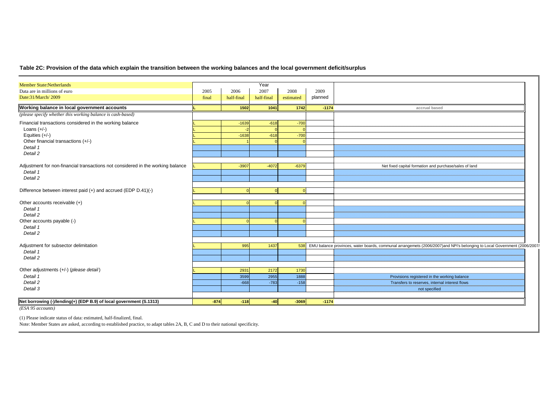#### **Table 2C: Provision of the data which explain the transition between the working balances and the local government deficit/surplus**

| <b>Member State:Netherlands</b>                                                          |        |            | Year       |           |         |                                                                                                                          |
|------------------------------------------------------------------------------------------|--------|------------|------------|-----------|---------|--------------------------------------------------------------------------------------------------------------------------|
| Data are in millions of euro                                                             | 2005   | 2006       | 2007       | 2008      | 2009    |                                                                                                                          |
| Date:31/March/2009                                                                       | final  | half-final | half-final | estimated | planned |                                                                                                                          |
| Working balance in local government accounts                                             |        | 1502       | 1041       | 1742      | $-1174$ | accrual based                                                                                                            |
| (please specify whether this working balance is cash-based)                              |        |            |            |           |         |                                                                                                                          |
| Financial transactions considered in the working balance                                 |        | $-1639$    | $-618$     | $-700$    |         |                                                                                                                          |
| Loans $(+/-)$                                                                            |        |            |            |           |         |                                                                                                                          |
| Equities (+/-)                                                                           |        | $-1638$    | $-618$     | $-700$    |         |                                                                                                                          |
| Other financial transactions (+/-)                                                       |        |            |            |           |         |                                                                                                                          |
| Detail 1                                                                                 |        |            |            |           |         |                                                                                                                          |
| Detail 2                                                                                 |        |            |            |           |         |                                                                                                                          |
| Adjustment for non-financial transactions not considered in the working balance          |        | $-3907$    | $-4072$    | $-6379$   |         | Net fixed capital formation and purchase/sales of land                                                                   |
| Detail 1                                                                                 |        |            |            |           |         |                                                                                                                          |
| Detail 2                                                                                 |        |            |            |           |         |                                                                                                                          |
|                                                                                          |        |            |            |           |         |                                                                                                                          |
| Difference between interest paid (+) and accrued (EDP D.41)(-)                           |        | 0          | $\Omega$   | $\Omega$  |         |                                                                                                                          |
|                                                                                          |        |            |            |           |         |                                                                                                                          |
| Other accounts receivable (+)                                                            |        | $\Omega$   | $\Omega$   | $\Omega$  |         |                                                                                                                          |
| Detail 1                                                                                 |        |            |            |           |         |                                                                                                                          |
| Detail 2<br>Other accounts payable (-)                                                   |        |            |            |           |         |                                                                                                                          |
| Detail 1                                                                                 |        |            |            |           |         |                                                                                                                          |
| Detail 2                                                                                 |        |            |            |           |         |                                                                                                                          |
|                                                                                          |        |            |            |           |         |                                                                                                                          |
| Adjustment for subsector delimitation                                                    |        | 995        | 1437       | 538       |         | EMU balance provinces, water boards, communal arrangemets (2006/2007)and NPI's belonging to Local Government (2006/2007/ |
| Detail 1                                                                                 |        |            |            |           |         |                                                                                                                          |
| Detail 2                                                                                 |        |            |            |           |         |                                                                                                                          |
|                                                                                          |        |            |            |           |         |                                                                                                                          |
| Other adjustments (+/-) (please detail)                                                  |        | 2931       | 2172       | 1730      |         |                                                                                                                          |
| Detail 1                                                                                 |        | 3599       | 2955       | 1888      |         | Provisions registered in the working balance                                                                             |
| Detail 2                                                                                 |        | $-668$     | $-783$     | $-158$    |         | Transfers to reserves, internal interest flows                                                                           |
| Detail 3                                                                                 |        |            |            |           |         | not specified                                                                                                            |
|                                                                                          | $-874$ | $-118$     | $-40$      | $-3069$   | $-1174$ |                                                                                                                          |
| Net borrowing (-)/lending(+) (EDP B.9) of local government (S.1313)<br>(ESA 95 accounts) |        |            |            |           |         |                                                                                                                          |

(1) Please indicate status of data: estimated, half-finalized, final.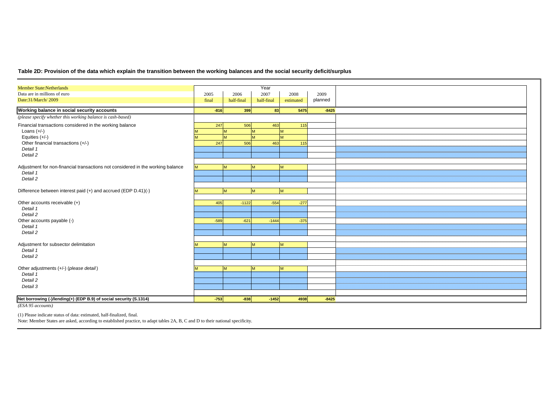#### **Table 2D: Provision of the data which explain the transition between the working balances and the social security deficit/surplus**

| <b>Member State:Netherlands</b>                                                 |        |            | Year       |           |         |  |
|---------------------------------------------------------------------------------|--------|------------|------------|-----------|---------|--|
| Data are in millions of euro                                                    | 2005   | 2006       | 2007       | 2008      | 2009    |  |
| Date:31/March/2009                                                              | final  | half-final | half-final | estimated | planned |  |
| Working balance in social security accounts                                     | $-816$ | 399        | 83         | 5475      | $-8425$ |  |
| (please specify whether this working balance is cash-based)                     |        |            |            |           |         |  |
| Financial transactions considered in the working balance                        | 247    | 506        | 463        | 115       |         |  |
| Loans $(+/-)$                                                                   |        | M          | <b>M</b>   |           |         |  |
| Equities (+/-)                                                                  |        | M          | M          | M         |         |  |
| Other financial transactions (+/-)                                              | 247    | 506        | 463        | 115       |         |  |
| Detail 1                                                                        |        |            |            |           |         |  |
| Detail 2                                                                        |        |            |            |           |         |  |
|                                                                                 |        |            |            |           |         |  |
| Adjustment for non-financial transactions not considered in the working balance |        | M          | M          | M         |         |  |
| Detail 1                                                                        |        |            |            |           |         |  |
| Detail 2                                                                        |        |            |            |           |         |  |
|                                                                                 |        |            |            |           |         |  |
| Difference between interest paid (+) and accrued (EDP D.41)(-)                  |        | M          | M          | M         |         |  |
|                                                                                 |        |            |            |           |         |  |
| Other accounts receivable (+)                                                   | 405    | $-1122$    | $-554$     | $-277$    |         |  |
| Detail 1                                                                        |        |            |            |           |         |  |
| Detail 2                                                                        |        |            |            |           |         |  |
| Other accounts payable (-)                                                      | $-589$ | $-621$     | $-1444$    | $-375$    |         |  |
| Detail 1                                                                        |        |            |            |           |         |  |
| Detail 2                                                                        |        |            |            |           |         |  |
|                                                                                 |        |            |            |           |         |  |
| Adjustment for subsector delimitation                                           |        | M          | M          | M         |         |  |
| Detail 1                                                                        |        |            |            |           |         |  |
| Detail 2                                                                        |        |            |            |           |         |  |
|                                                                                 |        |            |            |           |         |  |
| Other adjustments (+/-) (please detail)                                         |        | M          | M          | M         |         |  |
| Detail 1                                                                        |        |            |            |           |         |  |
| Detail 2                                                                        |        |            |            |           |         |  |
| Detail 3                                                                        |        |            |            |           |         |  |
|                                                                                 |        |            |            |           |         |  |
| Net borrowing (-)/lending(+) (EDP B.9) of social security (S.1314)              | $-753$ | $-838$     | $-1452$    | 4938      | $-8425$ |  |

*(ESA 95 accounts)*

(1) Please indicate status of data: estimated, half-finalized, final.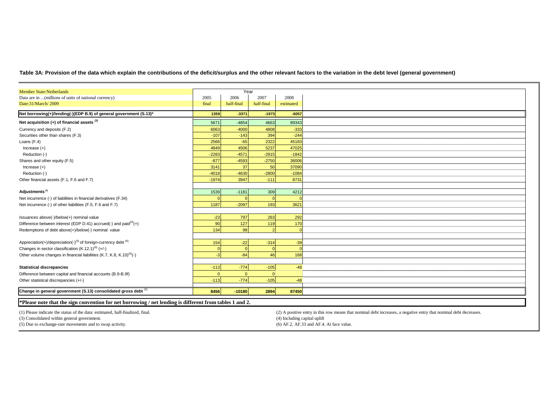**Table 3A: Provision of the data which explain the contributions of the deficit/surplus and the other relevant factors to the variation in the debt level (general government)**

| <b>Member State:Netherlands</b>                                                        |                | Year       |            |           |
|----------------------------------------------------------------------------------------|----------------|------------|------------|-----------|
| Data are in  (millions of units of national currency)                                  | 2005           | 2006       | 2007       | 2008      |
| Date:31/March/2009                                                                     | final          | half-final | half-final | estimated |
| Net borrowing(+)/lending(-)(EDP B.9) of general government (S.13)*                     | 1359           | $-3371$    | $-1973$    | $-6057$   |
| Net acquisition $(+)$ of financial assets $(3)$                                        | 5671           | $-4854$    | 4663       | 89343     |
| Currency and deposits (F.2)                                                            | 6063           | $-4000$    | 4808       | $-333$    |
| Securities other than shares (F.3)                                                     | $-107$         | $-143$     | 394        | $-244$    |
| Loans (F.4)                                                                            | 2566           | $-65$      | 2322       | 45183     |
| Increase $(+)$                                                                         | 4849           | 4506       | 5237       | 47025     |
| Reduction (-)                                                                          | $-2283$        | $-4571$    | $-2915$    | $-1842$   |
| Shares and other equity (F.5)                                                          | $-877$         | $-4593$    | $-2750$    | 36006     |
| Increase $(+)$                                                                         | 3141           | 37         | 50         | 37090     |
| Reduction (-)                                                                          | $-4018$        | $-4630$    | $-2800$    | $-1084$   |
| Other financial assets (F.1, F.6 and F.7)                                              | $-1974$        | 3947       | $-111$     | 8731      |
|                                                                                        |                |            |            |           |
| Adjustments <sup>(3)</sup>                                                             | 1539           | $-1181$    | 309        | 4212      |
| Net incurrence (-) of liabilities in financial derivatives (F.34)                      |                |            |            |           |
| Net incurrence (-) of other liabilities (F.5, F.6 and F.7)                             | 1187           | $-2097$    | 193        | 3621      |
|                                                                                        |                |            |            |           |
| Issuances above(-)/below(+) nominal value                                              | $-23$          | 797        | 263        | 292       |
| Difference between interest (EDP D.41) accrued(-) and paid $(4)$ (+)                   | 9 <sub>C</sub> | 127        | 119        | 170       |
| Redemptions of debt above(+)/below(-) nominal value                                    | 134            | 98         |            |           |
|                                                                                        |                |            |            |           |
| Appreciation(+)/depreciation(-) <sup>(5)</sup> of foreign-currency debt <sup>(6)</sup> | 154            | $-22$      | $-314$     | $-39$     |
| Changes in sector classification $(K.12.1)^{(6)} (+/-)$                                |                |            |            |           |
| Other volume changes in financial liabilities (K.7, K.8, K.10) <sup>(6)</sup> (-)      |                | $-84$      | 46         | 168       |
|                                                                                        |                |            |            |           |
| <b>Statistical discrepancies</b>                                                       | $-113$         | $-774$     | $-105$     | $-48$     |
| Difference between capital and financial accounts (B.9-B.9f)                           | $\overline{0}$ | $\Omega$   | 0          |           |
| Other statistical discrepancies (+/-)                                                  | $-113$         | $-774$     | $-105$     | $-48$     |
|                                                                                        |                |            |            |           |
| Change in general government (S.13) consolidated gross debt $(2)$                      | 8456           | $-10180$   | 2894       | 87450     |
|                                                                                        |                |            |            |           |

**\*Please note that the sign convention for net borrowing / net lending is different from tables 1 and 2.** 

(1) Please indicate the status of the data: estimated, half-finalized, final.

(3) Consolidated within general government.

(5) Due to exchange-rate movements and to swap activity.

 (2) A positive entry in this row means that nominal debt increases, a negative entry that nominal debt decreases. (4) Including capital uplift(6) AF.2, AF.33 and AF.4. At face value.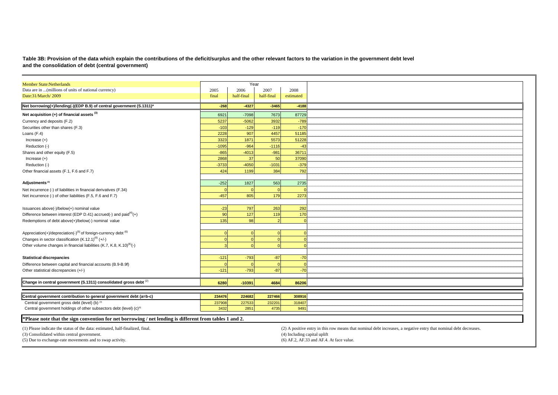Table 3B: Provision of the data which explain the contributions of the deficit/surplus and the other relevant factors to the variation in the government debt level<br>and the consolidation of debt (central government)

| <b>Member State:Netherlands</b>                                                                        |                | Year           |                |                                                                                                                   |
|--------------------------------------------------------------------------------------------------------|----------------|----------------|----------------|-------------------------------------------------------------------------------------------------------------------|
| Data are in  (millions of units of national currency)                                                  | 2005           | 2006           | 2007           | 2008                                                                                                              |
| Date:31/March/2009                                                                                     | final          | half-final     | half-final     | estimated                                                                                                         |
|                                                                                                        |                |                |                |                                                                                                                   |
| Net borrowing(+)/lending(-)(EDP B.9) of central government (S.1311)*                                   | $-268$         | $-4327$        | $-3465$        | $-4188$                                                                                                           |
| Net acquisition $(+)$ of financial assets $(3)$                                                        | 6921           | $-7098$        | 7673           | 87729                                                                                                             |
| Currency and deposits (F.2)                                                                            | 5237           | $-5062$        | 3932           | $-789$                                                                                                            |
| Securities other than shares (F.3)                                                                     | $-103$         | $-129$         | $-119$         | $-170$                                                                                                            |
| Loans (F.4)                                                                                            | 2228           | 907            | 4457           | 51185                                                                                                             |
| Increase $(+)$                                                                                         | 3323           | 1871           | 5573           | 51228                                                                                                             |
| Reduction (-)                                                                                          | $-1095$        | $-964$         | $-1116$        | $-43$                                                                                                             |
| Shares and other equity (F.5)                                                                          | $-865$         | $-4013$        | $-981$         | 36711                                                                                                             |
| Increase $(+)$                                                                                         | 2868           | 37             | 50             | 37090                                                                                                             |
| Reduction (-)                                                                                          | $-3733$        | $-4050$        | $-1031$        | $-379$                                                                                                            |
| Other financial assets (F.1, F.6 and F.7)                                                              | 424            | 1199           | 384            | 792                                                                                                               |
|                                                                                                        |                |                |                |                                                                                                                   |
| Adjustments <sup>(3)</sup>                                                                             | $-252$         | 1827           | 563            | 2735                                                                                                              |
| Net incurrence (-) of liabilities in financial derivatives (F.34)                                      |                |                | $\Omega$       |                                                                                                                   |
| Net incurrence (-) of other liabilities (F.5, F.6 and F.7)                                             | $-457$         | 805            | 179            | 2273                                                                                                              |
|                                                                                                        |                |                |                |                                                                                                                   |
| Issuances above(-)/below(+) nominal value                                                              | $-23$          | 797            | 263            | 292                                                                                                               |
| Difference between interest (EDP D.41) accrued(-) and paid $(4)$ (+)                                   | 90             | 127            | 119            | 170                                                                                                               |
| Redemptions of debt above(+)/below(-) nominal value                                                    | 135            | 98             |                |                                                                                                                   |
|                                                                                                        |                |                |                |                                                                                                                   |
| Appreciation(+)/depreciation(-) <sup>(5)</sup> of foreign-currency debt <sup>(6)</sup>                 |                |                | $\Omega$       |                                                                                                                   |
| Changes in sector classification $(K.12.1)^{(6)} (+/-)$                                                |                | - 0            | $\Omega$       |                                                                                                                   |
| Other volume changes in financial liabilities (K.7, K.8, K.10) <sup>(6)</sup> (-)                      |                |                |                |                                                                                                                   |
|                                                                                                        |                |                |                |                                                                                                                   |
| <b>Statistical discrepancies</b>                                                                       | $-121$         | $-793$         | $-87$          | $-70$                                                                                                             |
|                                                                                                        |                |                |                |                                                                                                                   |
| Difference between capital and financial accounts (B.9-B.9f)                                           |                |                | $\Omega$       |                                                                                                                   |
| Other statistical discrepancies (+/-)                                                                  | $-121$         | $-793$         | $-87$          | $-70$                                                                                                             |
| Change in central government (S.1311) consolidated gross debt $^{(2)}$                                 | 6280           | $-10391$       | 4684           | 86206                                                                                                             |
|                                                                                                        |                |                |                |                                                                                                                   |
| Central government contribution to general government debt (a=b-c)                                     | 234476         | 224682         | 227466         | 308916                                                                                                            |
| Central government gross debt (level) (b) (3)                                                          |                |                |                |                                                                                                                   |
| Central government holdings of other subsectors debt (level) (c) <sup>(6)</sup>                        | 237908<br>3432 | 227533<br>2851 | 232201<br>4735 | 318407<br>9491                                                                                                    |
|                                                                                                        |                |                |                |                                                                                                                   |
| Please note that the sign convention for net borrowing / net lending is different from tables 1 and 2. |                |                |                |                                                                                                                   |
|                                                                                                        |                |                |                |                                                                                                                   |
| (1) Please indicate the status of the data: estimated, half-finalized, final.                          |                |                |                | (2) A positive entry in this row means that nominal debt increases, a negative entry that nominal debt decreases. |
| (3) Consolidated within central government.                                                            |                |                |                | (4) Including capital uplift                                                                                      |
| (5) Due to exchange-rate movements and to swap activity.                                               |                |                |                | (6) AF.2, AF.33 and AF.4. At face value.                                                                          |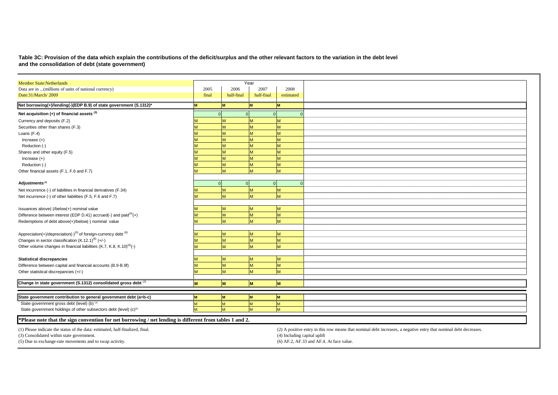# **Table 3C: Provision of the data which explain the contributions of the deficit/surplus and the other relevant factors to the variation in the debt level and the consolidation of debt (state government)**

| <b>Member State:Netherlands</b>                                                                         |       |            | Year       |                                                                                                                   |
|---------------------------------------------------------------------------------------------------------|-------|------------|------------|-------------------------------------------------------------------------------------------------------------------|
| Data are in  (millions of units of national currency)                                                   | 2005  | 2006       | 2007       | 2008                                                                                                              |
| Date:31/March/2009                                                                                      | final | half-final | half-final | estimated                                                                                                         |
| Net borrowing(+)/lending(-)(EDP B.9) of state government (S.1312)*                                      |       |            |            | M                                                                                                                 |
| Net acquisition $(+)$ of financial assets $(3)$                                                         |       |            |            | $\Omega$                                                                                                          |
| Currency and deposits (F.2)                                                                             |       |            |            |                                                                                                                   |
| Securities other than shares (F.3)                                                                      |       |            |            |                                                                                                                   |
| Loans (F.4)                                                                                             |       |            | M          | M                                                                                                                 |
| Increase $(+)$                                                                                          |       |            |            | M                                                                                                                 |
| Reduction (-)                                                                                           |       |            | M          | M                                                                                                                 |
| Shares and other equity (F.5)                                                                           |       |            |            | M                                                                                                                 |
| Increase $(+)$                                                                                          |       |            | M          | M                                                                                                                 |
| Reduction (-)                                                                                           |       |            | M          | M                                                                                                                 |
| Other financial assets (F.1, F.6 and F.7)                                                               |       |            |            | M                                                                                                                 |
|                                                                                                         |       |            |            |                                                                                                                   |
| Adjustments <sup>(3)</sup>                                                                              |       |            |            | $\Omega$                                                                                                          |
| Net incurrence (-) of liabilities in financial derivatives (F.34)                                       |       |            |            | M                                                                                                                 |
| Net incurrence (-) of other liabilities (F.5, F.6 and F.7)                                              |       |            |            | M                                                                                                                 |
|                                                                                                         |       |            |            |                                                                                                                   |
| Issuances above(-)/below(+) nominal value                                                               |       |            | M          | M                                                                                                                 |
| Difference between interest (EDP D.41) accrued(-) and paid $(4)$ (+)                                    |       |            | M          | M                                                                                                                 |
| Redemptions of debt above(+)/below(-) nominal value                                                     |       |            | M          | M                                                                                                                 |
|                                                                                                         |       |            |            |                                                                                                                   |
| Appreciation(+)/depreciation(-) <sup>(5)</sup> of foreign-currency debt <sup>(6)</sup>                  |       |            |            | M                                                                                                                 |
| Changes in sector classification $(K.12.1)^{(6)} (+/-)$                                                 |       |            | M          | M                                                                                                                 |
| Other volume changes in financial liabilities (K.7, K.8, K.10) <sup>(6)</sup> (-)                       |       |            | M          | M                                                                                                                 |
|                                                                                                         |       |            |            |                                                                                                                   |
| <b>Statistical discrepancies</b>                                                                        |       |            | M          | M                                                                                                                 |
| Difference between capital and financial accounts (B.9-B.9f)                                            |       |            | M          | M                                                                                                                 |
| Other statistical discrepancies (+/-)                                                                   |       | M          | M          | M                                                                                                                 |
|                                                                                                         |       |            |            |                                                                                                                   |
| Change in state government (S.1312) consolidated gross debt (2)                                         |       | lм         | M          | M                                                                                                                 |
|                                                                                                         |       |            |            |                                                                                                                   |
| State government contribution to general government debt (a=b-c)                                        |       |            | <b>IM</b>  | M                                                                                                                 |
| State government gross debt (level) (b) (3)                                                             |       |            |            | M                                                                                                                 |
| State government holdings of other subsectors debt (level) (c) <sup>(6)</sup>                           |       |            |            | M                                                                                                                 |
|                                                                                                         |       |            |            |                                                                                                                   |
| *Please note that the sign convention for net borrowing / net lending is different from tables 1 and 2. |       |            |            |                                                                                                                   |
| (1) Please indicate the status of the data: estimated, half-finalized, final.                           |       |            |            | (2) A positive entry in this row means that nominal debt increases, a negative entry that nominal debt decreases. |
| (3) Consolidated within state government.                                                               |       |            |            | (4) Including capital uplift                                                                                      |
| (5) Due to exchange-rate movements and to swap activity.                                                |       |            |            | (6) AF.2, AF.33 and AF.4. At face value.                                                                          |
|                                                                                                         |       |            |            |                                                                                                                   |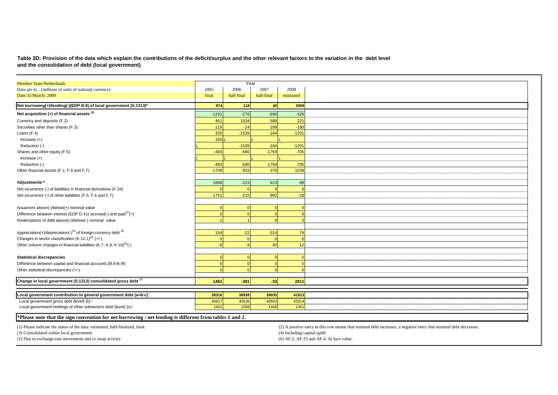## **Table 3D: Provision of the data which explain the contributions of the deficit/surplus and the other relevant factors to the variation in the debt level and the consolidation of debt (local government)**

| <b>Member State:Netherlands</b>                                                                         |         | Year       |            |                                                                                                                   |
|---------------------------------------------------------------------------------------------------------|---------|------------|------------|-------------------------------------------------------------------------------------------------------------------|
| Data are in  (millions of units of national currency)                                                   | 2005    | 2006       | 2007       | 2008                                                                                                              |
| Date:31/March/2009                                                                                      | final   | half-final | half-final | estimated                                                                                                         |
| Net borrowing(+)/lending(-)(EDP B.9) of local government (S.1313)*                                      | 874     | 118        | 40         | 3069                                                                                                              |
| Net acquisition (+) of financial assets (3)                                                             | $-1291$ | $-276$     | $-696$     | $-326$                                                                                                            |
| Currency and deposits (F.2)                                                                             | 461     | 1034       | 588        | 221                                                                                                               |
| Securities other than shares (F.3)                                                                      | 119     | $-24$      | 299        | $-180$                                                                                                            |
| Loans (F.4)                                                                                             | 320     | $-1539$    | $-184$     | $-1201$                                                                                                           |
| Increase $(+)$                                                                                          | 320     |            |            |                                                                                                                   |
| Reduction (-)                                                                                           |         | $-1539$    | $-184$     | $-1201$                                                                                                           |
| Shares and other equity (F.5)                                                                           | $-483$  | $-580$     | $-1769$    | $-705$                                                                                                            |
| Increase $(+)$                                                                                          |         |            |            |                                                                                                                   |
| Reduction (-)                                                                                           | $-483$  | $-580$     | $-1769$    | $-705$                                                                                                            |
| Other financial assets (F.1, F.6 and F.7)                                                               | $-1708$ | 833        | 370        | 1539                                                                                                              |
|                                                                                                         |         |            |            |                                                                                                                   |
| Adjustments <sup>(3)</sup>                                                                              | 1898    | $-223$     | 623        | 68                                                                                                                |
| Net incurrence (-) of liabilities in financial derivatives (F.34)                                       |         |            |            |                                                                                                                   |
| Net incurrence (-) of other liabilities (F.5, F.6 and F.7)                                              | 1751    | $-210$     | 892        | $-18$                                                                                                             |
|                                                                                                         |         |            |            |                                                                                                                   |
| Issuances above(-)/below(+) nominal value                                                               |         |            |            |                                                                                                                   |
| Difference between interest (EDP D.41) accrued(-) and paid $(4)$ (+)                                    |         |            |            |                                                                                                                   |
| Redemptions of debt above(+)/below(-) nominal value                                                     |         |            |            |                                                                                                                   |
|                                                                                                         |         |            |            |                                                                                                                   |
| Appreciation(+)/depreciation(-) <sup>(5)</sup> of foreign-currency debt <sup>(6)</sup>                  | 154     | $-22$      | $-314$     | 74                                                                                                                |
| Changes in sector classification $(K.12.1)^{(6)}$ (+/-)                                                 |         |            |            |                                                                                                                   |
| Other volume changes in financial liabilities (K.7, K.8, K.10) <sup>(6)</sup> (-)                       |         |            | 45         | 12                                                                                                                |
|                                                                                                         |         |            |            |                                                                                                                   |
| <b>Statistical discrepancies</b>                                                                        |         |            |            |                                                                                                                   |
| Difference between capital and financial accounts (B.9-B.9f)                                            |         |            |            |                                                                                                                   |
| Other statistical discrepancies (+/-)                                                                   |         |            |            |                                                                                                                   |
|                                                                                                         |         |            |            |                                                                                                                   |
| Change in local government (S.1313) consolidated gross debt (2)                                         | 1481    | $-381$     | $-33$      | 2811                                                                                                              |
|                                                                                                         |         |            |            |                                                                                                                   |
| Local government contribution to general government debt (a=b-c)                                        | 39316   | 38938      | 39035      | 41913                                                                                                             |
| Local government gross debt (level) (b) a                                                               | 40917   | 40536      | 40503      | 43314                                                                                                             |
| Local government holdings of other subsectors debt (level) (c) <sup>(a)</sup>                           | 1601    | 1598       | 1468       | 1401                                                                                                              |
| *Please note that the sign convention for net borrowing / net lending is different from tables 1 and 2. |         |            |            |                                                                                                                   |
|                                                                                                         |         |            |            |                                                                                                                   |
| (1) Please indicate the status of the data: estimated, half-finalized, final.                           |         |            |            | (2) A positive entry in this row means that nominal debt increases, a negative entry that nominal debt decreases. |
| (3) Consolidated within local government.                                                               |         |            |            | (4) Including capital uplift                                                                                      |
| (5) Due to exchange-rate movements and to swap activity.                                                |         |            |            | (6) AF.2, AF.33 and AF.4. At face value.                                                                          |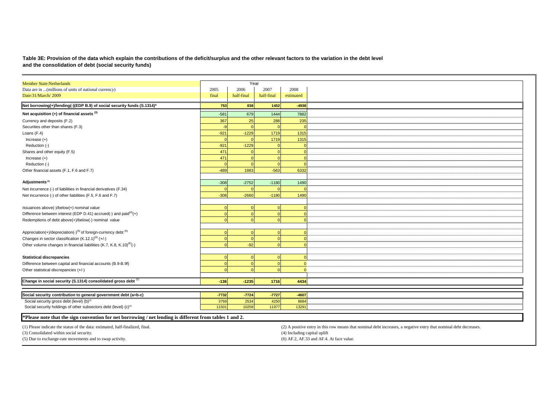**Table 3E: Provision of the data which explain the contributions of the deficit/surplus and the other relevant factors to the variation in the debt level and the consolidation of debt (social security funds)**

| <b>Member State:Netherlands</b>                                                                                           |         | Year       |            |                                                                                                                   |
|---------------------------------------------------------------------------------------------------------------------------|---------|------------|------------|-------------------------------------------------------------------------------------------------------------------|
| Data are in  (millions of units of national currency)                                                                     | 2005    | 2006       | 2007       | 2008                                                                                                              |
| Date:31/March/2009                                                                                                        | final   | half-final | half-final | estimated                                                                                                         |
| Net borrowing(+)/lending(-)(EDP B.9) of social security funds (S.1314)*                                                   | 753     | 838        | 1452       | $-4938$                                                                                                           |
|                                                                                                                           |         |            |            |                                                                                                                   |
| Net acquisition (+) of financial assets (3)                                                                               | $-581$  | 679        | 1444       | 7882                                                                                                              |
| Currency and deposits (F.2)                                                                                               | 367     | 25         | 288        | 235                                                                                                               |
| Securities other than shares (F.3)                                                                                        |         |            |            |                                                                                                                   |
| Loans (F.4)                                                                                                               | $-921$  | $-1229$    | 1719       | 1315                                                                                                              |
| Increase $(+)$                                                                                                            |         |            | 1719       | 1315                                                                                                              |
| Reduction (-)                                                                                                             | $-921$  | $-1229$    |            |                                                                                                                   |
| Shares and other equity (F.5)                                                                                             | 471     |            |            |                                                                                                                   |
| Increase $(+)$                                                                                                            | 471     |            |            |                                                                                                                   |
| Reduction (-)                                                                                                             |         |            |            |                                                                                                                   |
| Other financial assets (F.1, F.6 and F.7)                                                                                 | $-489$  | 1883       | $-563$     | 6332                                                                                                              |
|                                                                                                                           |         |            |            |                                                                                                                   |
| Adjustments <sup>(3)</sup>                                                                                                | $-308$  | $-2752$    | $-1180$    | 1490                                                                                                              |
| Net incurrence (-) of liabilities in financial derivatives (F.34)                                                         |         |            |            |                                                                                                                   |
| Net incurrence (-) of other liabilities (F.5, F.6 and F.7)                                                                | $-308$  | $-2660$    | $-1180$    | 1490                                                                                                              |
|                                                                                                                           |         |            |            |                                                                                                                   |
| Issuances above(-)/below(+) nominal value                                                                                 |         |            |            |                                                                                                                   |
| Difference between interest (EDP D.41) accrued(-) and paid $(4)$ (+)                                                      |         |            |            |                                                                                                                   |
| Redemptions of debt above(+)/below(-) nominal value                                                                       |         |            |            |                                                                                                                   |
|                                                                                                                           |         |            |            |                                                                                                                   |
| Appreciation(+)/depreciation(-) <sup>(5)</sup> of foreign-currency debt <sup>(6)</sup>                                    |         |            |            |                                                                                                                   |
| Changes in sector classification (K.12.1) <sup>(6)</sup> (+/-)                                                            |         |            |            |                                                                                                                   |
| Other volume changes in financial liabilities (K.7, K.8, K.10) <sup>(6)</sup> (-)                                         |         | $-92$      |            |                                                                                                                   |
|                                                                                                                           |         |            |            |                                                                                                                   |
| <b>Statistical discrepancies</b>                                                                                          |         |            |            |                                                                                                                   |
|                                                                                                                           |         |            |            |                                                                                                                   |
| Difference between capital and financial accounts (B.9-B.9f)                                                              |         |            |            | $\Omega$                                                                                                          |
| Other statistical discrepancies (+/-)                                                                                     |         |            |            | $\Omega$                                                                                                          |
| Change in social security (S.1314) consolidated gross debt (2)                                                            |         |            |            |                                                                                                                   |
|                                                                                                                           | $-136$  | $-1235$    | 1716       | 4434                                                                                                              |
|                                                                                                                           |         |            |            |                                                                                                                   |
| Social security contribution to general government debt (a=b-c)                                                           | $-7732$ | $-7724$    | $-7727$    | $-4607$                                                                                                           |
| Social security gross debt (level) (b) <sup>(3)</sup>                                                                     | 3769    | 2534       | 4250       | 8684                                                                                                              |
|                                                                                                                           |         | 10258      | 11977      | 13291                                                                                                             |
| Social security holdings of other subsectors debt (level) (c) <sup>(6)</sup>                                              | 11501   |            |            |                                                                                                                   |
|                                                                                                                           |         |            |            |                                                                                                                   |
| *Please note that the sign convention for net borrowing / net lending is different from tables 1 and 2.                   |         |            |            |                                                                                                                   |
|                                                                                                                           |         |            |            | (2) A positive entry in this row means that nominal debt increases, a negative entry that nominal debt decreases. |
| (1) Please indicate the status of the data: estimated, half-finalized, final.<br>(3) Consolidated within social security. |         |            |            | (4) Including capital uplift                                                                                      |